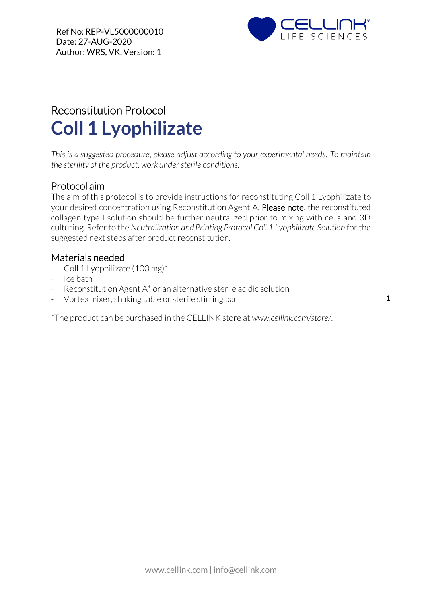

# Reconstitution Protocol **Coll 1 Lyophilizate**

*This is a suggested procedure, please adjust according to your experimental needs. To maintain the sterility of the product, work under sterile conditions.*

### Protocol aim

The aim of this protocol is to provide instructions for reconstituting Coll 1 Lyophilizate to your desired concentration using Reconstitution Agent A. Please note, the reconstituted collagen type I solution should be further neutralized prior to mixing with cells and 3D culturing. Refer to the *Neutralization and Printing Protocol Coll 1 Lyophilizate Solution* forthe suggested next steps after product reconstitution.

#### Materials needed

- Coll 1 Lyophilizate (100 mg)\*
- Ice bath
- Reconstitution Agent A\* or an alternative sterile acidic solution
- Vortex mixer, shaking table or sterile stirring bar

\*The product can be purchased in the CELLINK store at *www.cellink.com/store/*.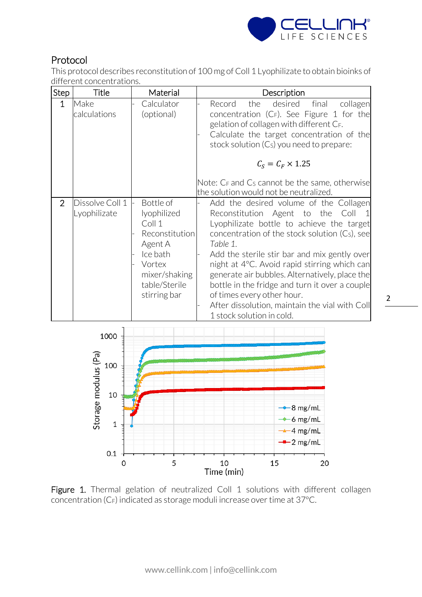

## Protocol

This protocol describes reconstitution of 100 mg of Coll 1 Lyophilizate to obtain bioinks of different concentrations.

| <b>Step</b>    | Title                           | Material                                                                                                                                | Description                                                                                                                                                                                                                                                                                                                                                                                                                                                                                              |
|----------------|---------------------------------|-----------------------------------------------------------------------------------------------------------------------------------------|----------------------------------------------------------------------------------------------------------------------------------------------------------------------------------------------------------------------------------------------------------------------------------------------------------------------------------------------------------------------------------------------------------------------------------------------------------------------------------------------------------|
| 1              | Make<br>calculations            | Calculator<br>(optional)                                                                                                                | desired<br>Record<br>the<br>final<br>collagen<br>concentration $(C_F)$ . See Figure 1 for the<br>gelation of collagen with different CF.<br>Calculate the target concentration of the<br>stock solution $(Cs)$ you need to prepare:<br>$C_s = C_F \times 1.25$<br>Note: C <sub>F</sub> and C <sub>s</sub> cannot be the same, otherwise<br>the solution would not be neutralized.                                                                                                                        |
| $\overline{2}$ | Dissolve Coll 1<br>Lyophilizate | Bottle of<br>lyophilized<br>Coll 1<br>Reconstitution<br>Agent A<br>Ice bath<br>Vortex<br>mixer/shaking<br>table/Sterile<br>stirring bar | Add the desired volume of the Collagen<br>Reconstitution Agent to the<br>Coll<br>Lyophilizate bottle to achieve the target<br>concentration of the stock solution (Cs), see<br>Table 1.<br>Add the sterile stir bar and mix gently over<br>night at 4°C. Avoid rapid stirring which can<br>generate air bubbles. Alternatively, place the<br>bottle in the fridge and turn it over a couple<br>of times every other hour.<br>After dissolution, maintain the vial with Coll<br>1 stock solution in cold. |



Figure 1. Thermal gelation of neutralized Coll 1 solutions with different collagen concentration (CF) indicated as storage moduli increase over time at 37°C.